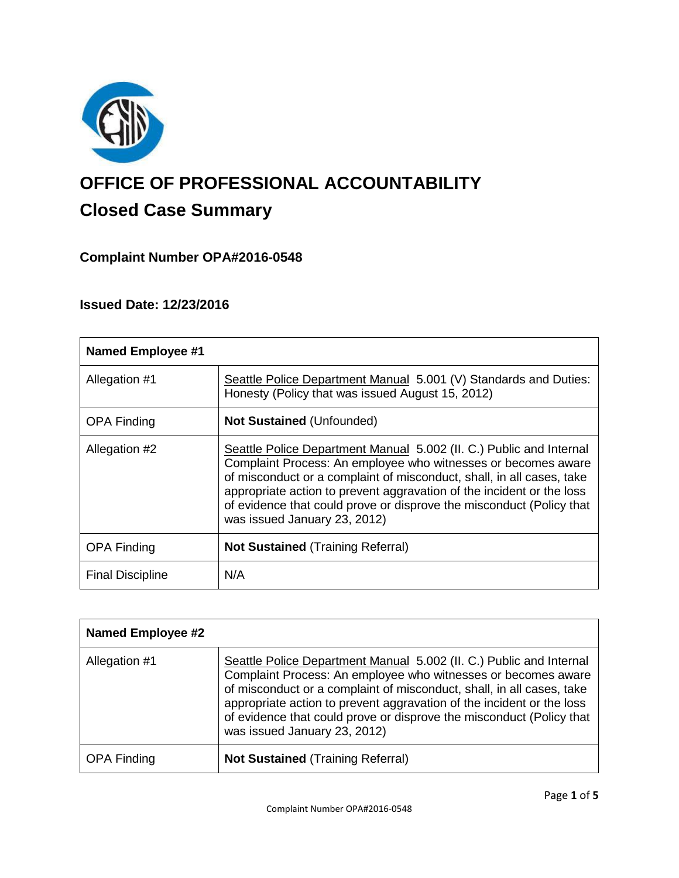

# **OFFICE OF PROFESSIONAL ACCOUNTABILITY Closed Case Summary**

## **Complaint Number OPA#2016-0548**

## **Issued Date: 12/23/2016**

| <b>Named Employee #1</b> |                                                                                                                                                                                                                                                                                                                                                                                                |
|--------------------------|------------------------------------------------------------------------------------------------------------------------------------------------------------------------------------------------------------------------------------------------------------------------------------------------------------------------------------------------------------------------------------------------|
| Allegation #1            | Seattle Police Department Manual 5.001 (V) Standards and Duties:<br>Honesty (Policy that was issued August 15, 2012)                                                                                                                                                                                                                                                                           |
| <b>OPA Finding</b>       | <b>Not Sustained (Unfounded)</b>                                                                                                                                                                                                                                                                                                                                                               |
| Allegation #2            | Seattle Police Department Manual 5.002 (II. C.) Public and Internal<br>Complaint Process: An employee who witnesses or becomes aware<br>of misconduct or a complaint of misconduct, shall, in all cases, take<br>appropriate action to prevent aggravation of the incident or the loss<br>of evidence that could prove or disprove the misconduct (Policy that<br>was issued January 23, 2012) |
| <b>OPA Finding</b>       | <b>Not Sustained (Training Referral)</b>                                                                                                                                                                                                                                                                                                                                                       |
| <b>Final Discipline</b>  | N/A                                                                                                                                                                                                                                                                                                                                                                                            |

| <b>Named Employee #2</b> |                                                                                                                                                                                                                                                                                                                                                                                                |
|--------------------------|------------------------------------------------------------------------------------------------------------------------------------------------------------------------------------------------------------------------------------------------------------------------------------------------------------------------------------------------------------------------------------------------|
| Allegation #1            | Seattle Police Department Manual 5.002 (II. C.) Public and Internal<br>Complaint Process: An employee who witnesses or becomes aware<br>of misconduct or a complaint of misconduct, shall, in all cases, take<br>appropriate action to prevent aggravation of the incident or the loss<br>of evidence that could prove or disprove the misconduct (Policy that<br>was issued January 23, 2012) |
| <b>OPA Finding</b>       | <b>Not Sustained (Training Referral)</b>                                                                                                                                                                                                                                                                                                                                                       |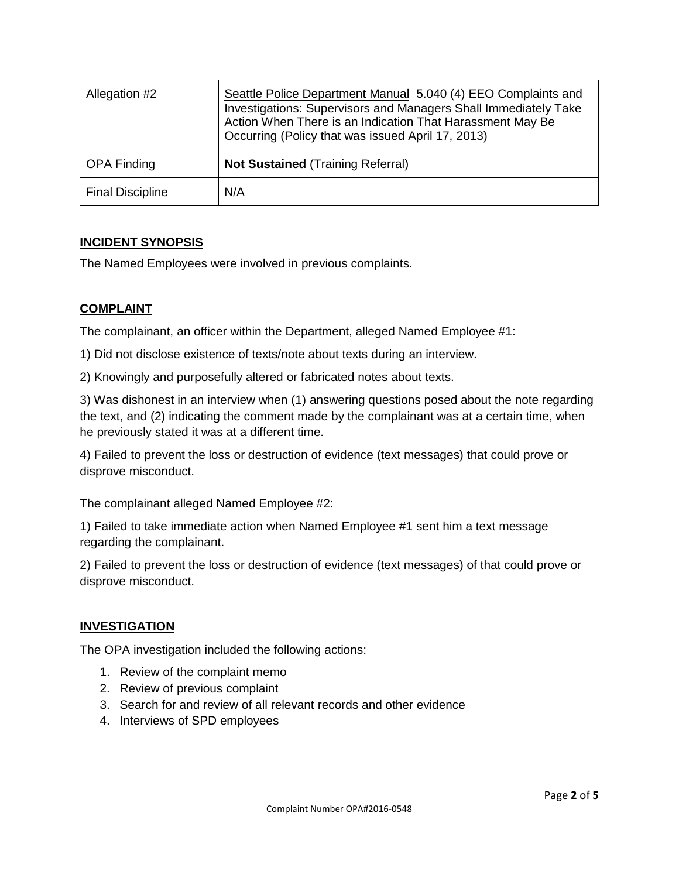| Allegation #2           | Seattle Police Department Manual 5.040 (4) EEO Complaints and<br>Investigations: Supervisors and Managers Shall Immediately Take<br>Action When There is an Indication That Harassment May Be<br>Occurring (Policy that was issued April 17, 2013) |
|-------------------------|----------------------------------------------------------------------------------------------------------------------------------------------------------------------------------------------------------------------------------------------------|
| <b>OPA Finding</b>      | <b>Not Sustained (Training Referral)</b>                                                                                                                                                                                                           |
| <b>Final Discipline</b> | N/A                                                                                                                                                                                                                                                |

### **INCIDENT SYNOPSIS**

The Named Employees were involved in previous complaints.

#### **COMPLAINT**

The complainant, an officer within the Department, alleged Named Employee #1:

1) Did not disclose existence of texts/note about texts during an interview.

2) Knowingly and purposefully altered or fabricated notes about texts.

3) Was dishonest in an interview when (1) answering questions posed about the note regarding the text, and (2) indicating the comment made by the complainant was at a certain time, when he previously stated it was at a different time.

4) Failed to prevent the loss or destruction of evidence (text messages) that could prove or disprove misconduct.

The complainant alleged Named Employee #2:

1) Failed to take immediate action when Named Employee #1 sent him a text message regarding the complainant.

2) Failed to prevent the loss or destruction of evidence (text messages) of that could prove or disprove misconduct.

## **INVESTIGATION**

The OPA investigation included the following actions:

- 1. Review of the complaint memo
- 2. Review of previous complaint
- 3. Search for and review of all relevant records and other evidence
- 4. Interviews of SPD employees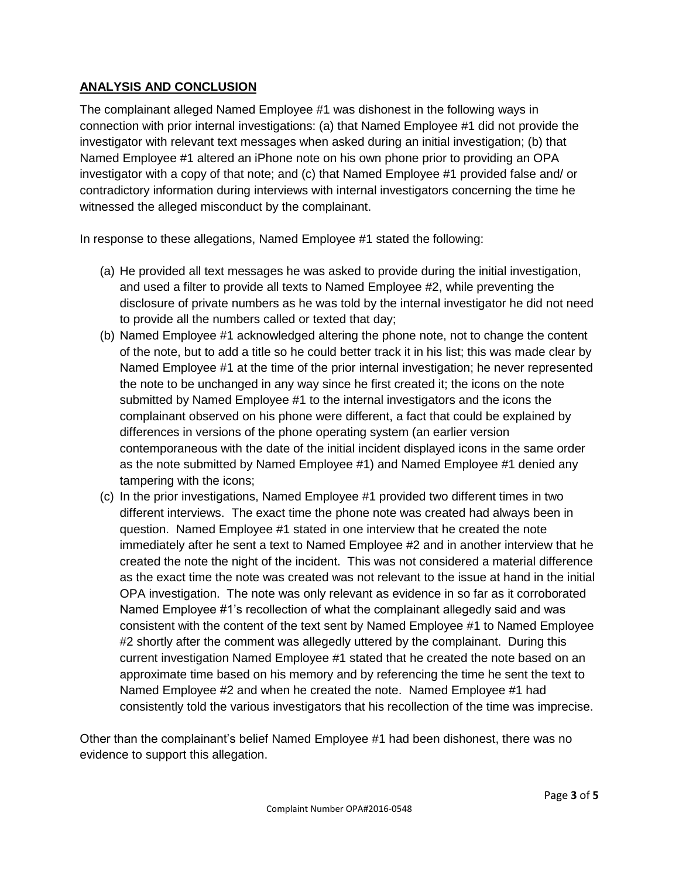## **ANALYSIS AND CONCLUSION**

The complainant alleged Named Employee #1 was dishonest in the following ways in connection with prior internal investigations: (a) that Named Employee #1 did not provide the investigator with relevant text messages when asked during an initial investigation; (b) that Named Employee #1 altered an iPhone note on his own phone prior to providing an OPA investigator with a copy of that note; and (c) that Named Employee #1 provided false and/ or contradictory information during interviews with internal investigators concerning the time he witnessed the alleged misconduct by the complainant.

In response to these allegations, Named Employee #1 stated the following:

- (a) He provided all text messages he was asked to provide during the initial investigation, and used a filter to provide all texts to Named Employee #2, while preventing the disclosure of private numbers as he was told by the internal investigator he did not need to provide all the numbers called or texted that day;
- (b) Named Employee #1 acknowledged altering the phone note, not to change the content of the note, but to add a title so he could better track it in his list; this was made clear by Named Employee #1 at the time of the prior internal investigation; he never represented the note to be unchanged in any way since he first created it; the icons on the note submitted by Named Employee #1 to the internal investigators and the icons the complainant observed on his phone were different, a fact that could be explained by differences in versions of the phone operating system (an earlier version contemporaneous with the date of the initial incident displayed icons in the same order as the note submitted by Named Employee #1) and Named Employee #1 denied any tampering with the icons;
- (c) In the prior investigations, Named Employee #1 provided two different times in two different interviews. The exact time the phone note was created had always been in question. Named Employee #1 stated in one interview that he created the note immediately after he sent a text to Named Employee #2 and in another interview that he created the note the night of the incident. This was not considered a material difference as the exact time the note was created was not relevant to the issue at hand in the initial OPA investigation. The note was only relevant as evidence in so far as it corroborated Named Employee #1's recollection of what the complainant allegedly said and was consistent with the content of the text sent by Named Employee #1 to Named Employee #2 shortly after the comment was allegedly uttered by the complainant. During this current investigation Named Employee #1 stated that he created the note based on an approximate time based on his memory and by referencing the time he sent the text to Named Employee #2 and when he created the note. Named Employee #1 had consistently told the various investigators that his recollection of the time was imprecise.

Other than the complainant's belief Named Employee #1 had been dishonest, there was no evidence to support this allegation.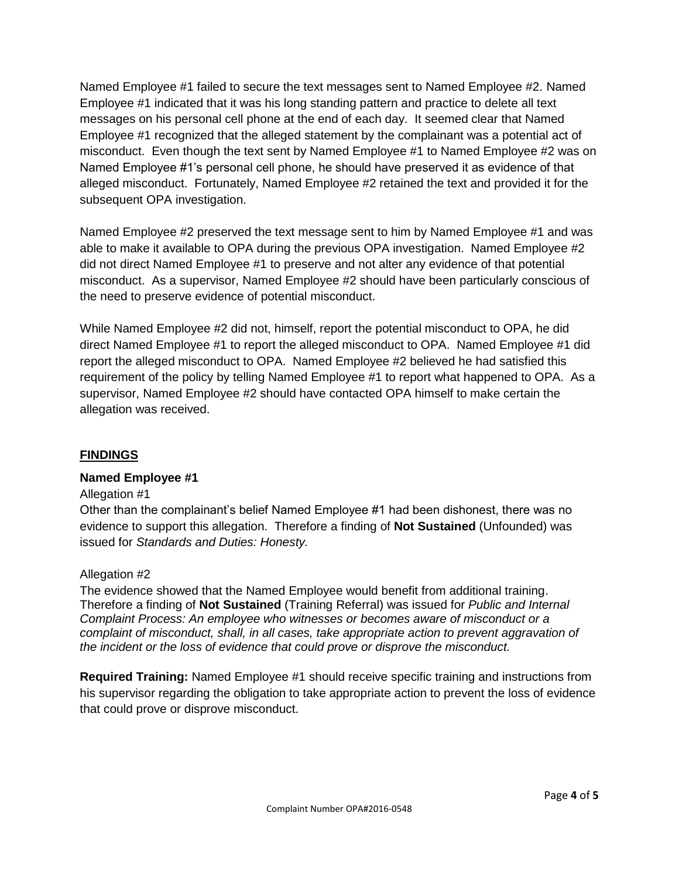Named Employee #1 failed to secure the text messages sent to Named Employee #2. Named Employee #1 indicated that it was his long standing pattern and practice to delete all text messages on his personal cell phone at the end of each day. It seemed clear that Named Employee #1 recognized that the alleged statement by the complainant was a potential act of misconduct. Even though the text sent by Named Employee #1 to Named Employee #2 was on Named Employee #1's personal cell phone, he should have preserved it as evidence of that alleged misconduct. Fortunately, Named Employee #2 retained the text and provided it for the subsequent OPA investigation.

Named Employee #2 preserved the text message sent to him by Named Employee #1 and was able to make it available to OPA during the previous OPA investigation. Named Employee #2 did not direct Named Employee #1 to preserve and not alter any evidence of that potential misconduct. As a supervisor, Named Employee #2 should have been particularly conscious of the need to preserve evidence of potential misconduct.

While Named Employee #2 did not, himself, report the potential misconduct to OPA, he did direct Named Employee #1 to report the alleged misconduct to OPA. Named Employee #1 did report the alleged misconduct to OPA. Named Employee #2 believed he had satisfied this requirement of the policy by telling Named Employee #1 to report what happened to OPA. As a supervisor, Named Employee #2 should have contacted OPA himself to make certain the allegation was received.

#### **FINDINGS**

#### **Named Employee #1**

#### Allegation #1

Other than the complainant's belief Named Employee #1 had been dishonest, there was no evidence to support this allegation. Therefore a finding of **Not Sustained** (Unfounded) was issued for *Standards and Duties: Honesty.*

#### Allegation #2

The evidence showed that the Named Employee would benefit from additional training. Therefore a finding of **Not Sustained** (Training Referral) was issued for *Public and Internal Complaint Process: An employee who witnesses or becomes aware of misconduct or a complaint of misconduct, shall, in all cases, take appropriate action to prevent aggravation of the incident or the loss of evidence that could prove or disprove the misconduct.*

**Required Training:** Named Employee #1 should receive specific training and instructions from his supervisor regarding the obligation to take appropriate action to prevent the loss of evidence that could prove or disprove misconduct.